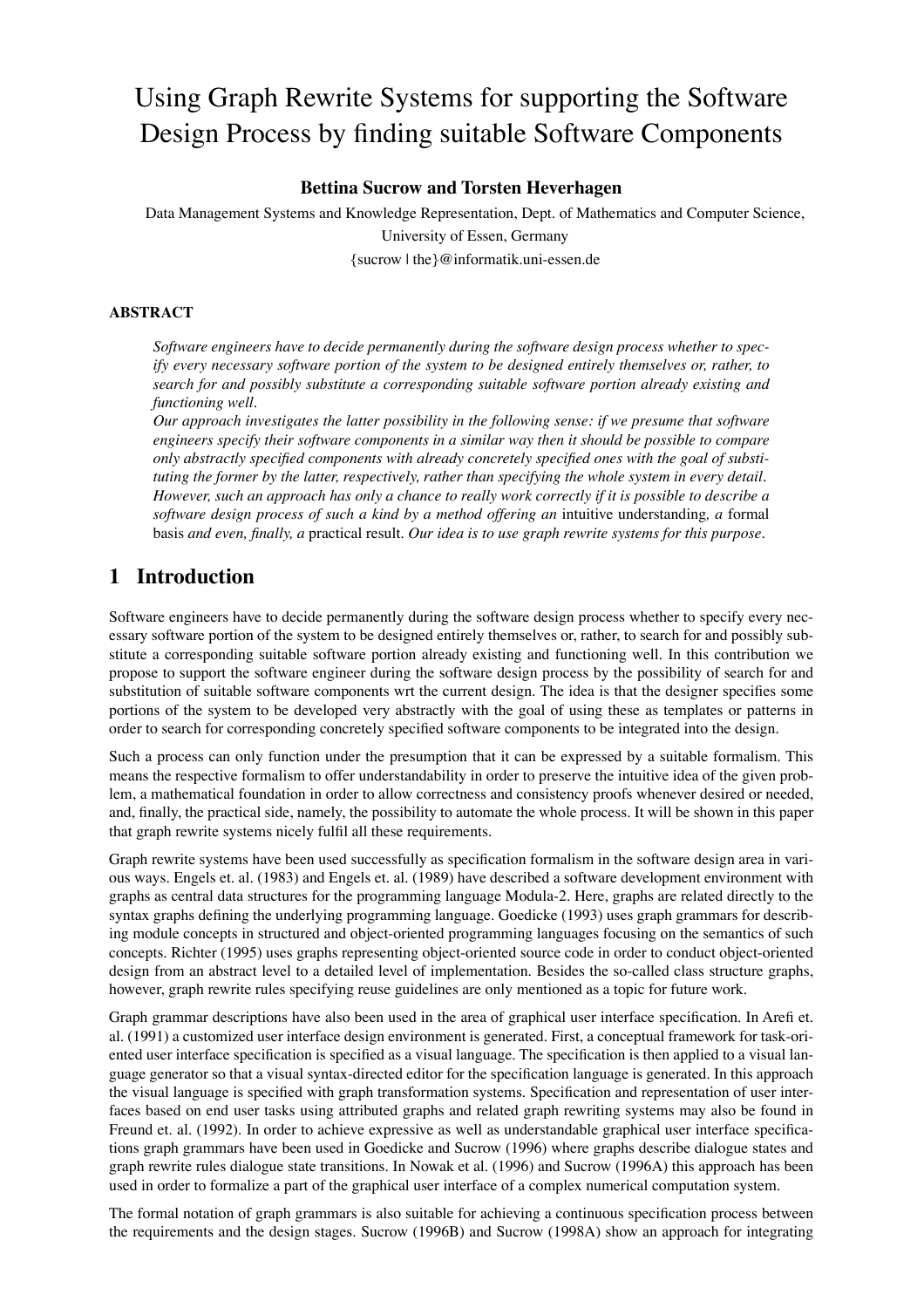# Using Graph Rewrite Systems for supporting the Software Design Process by finding suitable Software Components

#### **Bettina Sucrow and Torsten Heverhagen**

Data Management Systems and Knowledge Representation, Dept. of Mathematics and Computer Science, University of Essen, Germany {sucrow | the}@informatik.uni-essen.de

#### **ABSTRACT**

*Software engineers have to decide permanently during the software design process whether to specify every necessary software portion of the system to be designed entirely themselves or, rather, to search for and possibly substitute a corresponding suitable software portion already existing and functioning well.*

*Our approach investigates the latter possibility in the following sense: if we presume that software engineers specify their software components in a similar way then it should be possible to compare only abstractly specified components with already concretely specified ones with the goal of substituting the former by the latter, respectively, rather than specifying the whole system in every detail. However, such an approach has only a chance to really work correctly if it is possible to describe a software design process of such a kind by a method offering an* intuitive understanding*, a* formal basis *and even, finally, a* practical result*. Our idea is to use graph rewrite systems for this purpose.*

## **1 Introduction**

Software engineers have to decide permanently during the software design process whether to specify every necessary software portion of the system to be designed entirely themselves or, rather, to search for and possibly substitute a corresponding suitable software portion already existing and functioning well. In this contribution we propose to support the software engineer during the software design process by the possibility of search for and substitution of suitable software components wrt the current design. The idea is that the designer specifies some portions of the system to be developed very abstractly with the goal of using these as templates or patterns in order to search for corresponding concretely specified software components to be integrated into the design.

Such a process can only function under the presumption that it can be expressed by a suitable formalism. This means the respective formalism to offer understandability in order to preserve the intuitive idea of the given problem, a mathematical foundation in order to allow correctness and consistency proofs whenever desired or needed, and, finally, the practical side, namely, the possibility to automate the whole process. It will be shown in this paper that graph rewrite systems nicely fulfil all these requirements.

Graph rewrite systems have been used successfully as specification formalism in the software design area in various ways. Engels et. al. (1983) and Engels et. al. (1989) have described a software development environment with graphs as central data structures for the programming language Modula-2. Here, graphs are related directly to the syntax graphs defining the underlying programming language. Goedicke (1993) uses graph grammars for describing module concepts in structured and object-oriented programming languages focusing on the semantics of such concepts. Richter (1995) uses graphs representing object-oriented source code in order to conduct object-oriented design from an abstract level to a detailed level of implementation. Besides the so-called class structure graphs, however, graph rewrite rules specifying reuse guidelines are only mentioned as a topic for future work.

Graph grammar descriptions have also been used in the area of graphical user interface specification. In Arefi et. al. (1991) a customized user interface design environment is generated. First, a conceptual framework for task-oriented user interface specification is specified as a visual language. The specification is then applied to a visual language generator so that a visual syntax-directed editor for the specification language is generated. In this approach the visual language is specified with graph transformation systems. Specification and representation of user interfaces based on end user tasks using attributed graphs and related graph rewriting systems may also be found in Freund et. al. (1992). In order to achieve expressive as well as understandable graphical user interface specifications graph grammars have been used in Goedicke and Sucrow (1996) where graphs describe dialogue states and graph rewrite rules dialogue state transitions. In Nowak et al. (1996) and Sucrow (1996A) this approach has been used in order to formalize a part of the graphical user interface of a complex numerical computation system.

The formal notation of graph grammars is also suitable for achieving a continuous specification process between the requirements and the design stages. Sucrow (1996B) and Sucrow (1998A) show an approach for integrating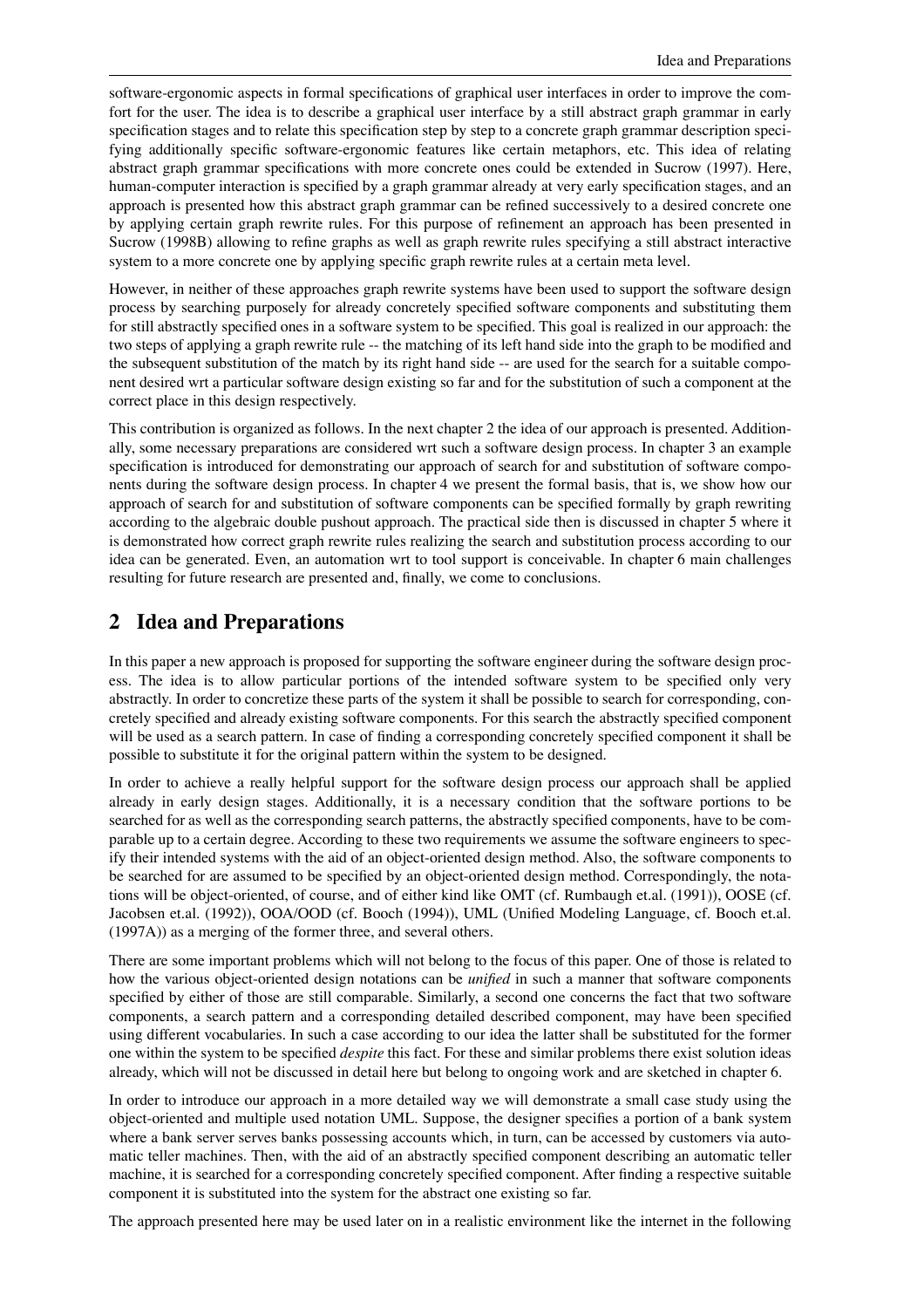software-ergonomic aspects in formal specifications of graphical user interfaces in order to improve the comfort for the user. The idea is to describe a graphical user interface by a still abstract graph grammar in early specification stages and to relate this specification step by step to a concrete graph grammar description specifying additionally specific software-ergonomic features like certain metaphors, etc. This idea of relating abstract graph grammar specifications with more concrete ones could be extended in Sucrow (1997). Here, human-computer interaction is specified by a graph grammar already at very early specification stages, and an approach is presented how this abstract graph grammar can be refined successively to a desired concrete one by applying certain graph rewrite rules. For this purpose of refinement an approach has been presented in Sucrow (1998B) allowing to refine graphs as well as graph rewrite rules specifying a still abstract interactive system to a more concrete one by applying specific graph rewrite rules at a certain meta level.

However, in neither of these approaches graph rewrite systems have been used to support the software design process by searching purposely for already concretely specified software components and substituting them for still abstractly specified ones in a software system to be specified. This goal is realized in our approach: the two steps of applying a graph rewrite rule -- the matching of its left hand side into the graph to be modified and the subsequent substitution of the match by its right hand side -- are used for the search for a suitable component desired wrt a particular software design existing so far and for the substitution of such a component at the correct place in this design respectively.

This contribution is organized as follows. In the next chapter 2 the idea of our approach is presented. Additionally, some necessary preparations are considered wrt such a software design process. In chapter 3 an example specification is introduced for demonstrating our approach of search for and substitution of software components during the software design process. In chapter 4 we present the formal basis, that is, we show how our approach of search for and substitution of software components can be specified formally by graph rewriting according to the algebraic double pushout approach. The practical side then is discussed in chapter 5 where it is demonstrated how correct graph rewrite rules realizing the search and substitution process according to our idea can be generated. Even, an automation wrt to tool support is conceivable. In chapter 6 main challenges resulting for future research are presented and, finally, we come to conclusions.

### **2 Idea and Preparations**

In this paper a new approach is proposed for supporting the software engineer during the software design process. The idea is to allow particular portions of the intended software system to be specified only very abstractly. In order to concretize these parts of the system it shall be possible to search for corresponding, concretely specified and already existing software components. For this search the abstractly specified component will be used as a search pattern. In case of finding a corresponding concretely specified component it shall be possible to substitute it for the original pattern within the system to be designed.

In order to achieve a really helpful support for the software design process our approach shall be applied already in early design stages. Additionally, it is a necessary condition that the software portions to be searched for as well as the corresponding search patterns, the abstractly specified components, have to be comparable up to a certain degree. According to these two requirements we assume the software engineers to specify their intended systems with the aid of an object-oriented design method. Also, the software components to be searched for are assumed to be specified by an object-oriented design method. Correspondingly, the notations will be object-oriented, of course, and of either kind like OMT (cf. Rumbaugh et.al. (1991)), OOSE (cf. Jacobsen et.al. (1992)), OOA/OOD (cf. Booch (1994)), UML (Unified Modeling Language, cf. Booch et.al. (1997A)) as a merging of the former three, and several others.

There are some important problems which will not belong to the focus of this paper. One of those is related to how the various object-oriented design notations can be *unified* in such a manner that software components specified by either of those are still comparable. Similarly, a second one concerns the fact that two software components, a search pattern and a corresponding detailed described component, may have been specified using different vocabularies. In such a case according to our idea the latter shall be substituted for the former one within the system to be specified *despite* this fact. For these and similar problems there exist solution ideas already, which will not be discussed in detail here but belong to ongoing work and are sketched in chapter 6.

In order to introduce our approach in a more detailed way we will demonstrate a small case study using the object-oriented and multiple used notation UML. Suppose, the designer specifies a portion of a bank system where a bank server serves banks possessing accounts which, in turn, can be accessed by customers via automatic teller machines. Then, with the aid of an abstractly specified component describing an automatic teller machine, it is searched for a corresponding concretely specified component. After finding a respective suitable component it is substituted into the system for the abstract one existing so far.

The approach presented here may be used later on in a realistic environment like the internet in the following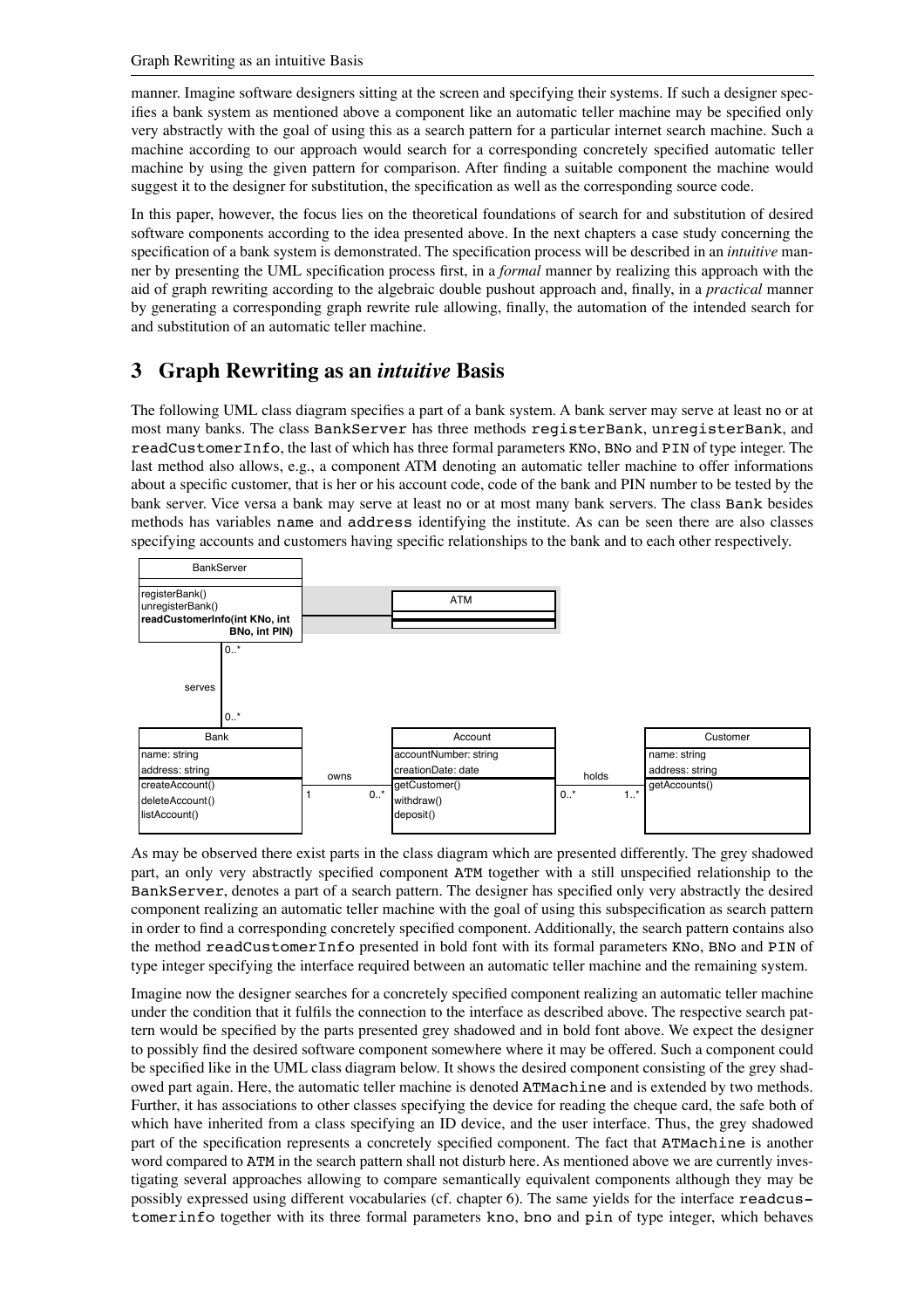manner. Imagine software designers sitting at the screen and specifying their systems. If such a designer specifies a bank system as mentioned above a component like an automatic teller machine may be specified only very abstractly with the goal of using this as a search pattern for a particular internet search machine. Such a machine according to our approach would search for a corresponding concretely specified automatic teller machine by using the given pattern for comparison. After finding a suitable component the machine would suggest it to the designer for substitution, the specification as well as the corresponding source code.

In this paper, however, the focus lies on the theoretical foundations of search for and substitution of desired software components according to the idea presented above. In the next chapters a case study concerning the specification of a bank system is demonstrated. The specification process will be described in an *intuitive* manner by presenting the UML specification process first, in a *formal* manner by realizing this approach with the aid of graph rewriting according to the algebraic double pushout approach and, finally, in a *practical* manner by generating a corresponding graph rewrite rule allowing, finally, the automation of the intended search for and substitution of an automatic teller machine.

# **3 Graph Rewriting as an** *intuitive* **Basis**

The following UML class diagram specifies a part of a bank system. A bank server may serve at least no or at most many banks. The class BankServer has three methods registerBank, unregisterBank, and readCustomerInfo, the last of which has three formal parameters KNo, BNo and PIN of type integer. The last method also allows, e.g., a component ATM denoting an automatic teller machine to offer informations about a specific customer, that is her or his account code, code of the bank and PIN number to be tested by the bank server. Vice versa a bank may serve at least no or at most many bank servers. The class Bank besides methods has variables name and address identifying the institute. As can be seen there are also classes specifying accounts and customers having specific relationships to the bank and to each other respectively.



As may be observed there exist parts in the class diagram which are presented differently. The grey shadowed part, an only very abstractly specified component ATM together with a still unspecified relationship to the BankServer, denotes a part of a search pattern. The designer has specified only very abstractly the desired component realizing an automatic teller machine with the goal of using this subspecification as search pattern in order to find a corresponding concretely specified component. Additionally, the search pattern contains also the method readCustomerInfo presented in bold font with its formal parameters KNo, BNo and PIN of type integer specifying the interface required between an automatic teller machine and the remaining system.

Imagine now the designer searches for a concretely specified component realizing an automatic teller machine under the condition that it fulfils the connection to the interface as described above. The respective search pattern would be specified by the parts presented grey shadowed and in bold font above. We expect the designer to possibly find the desired software component somewhere where it may be offered. Such a component could be specified like in the UML class diagram below. It shows the desired component consisting of the grey shadowed part again. Here, the automatic teller machine is denoted ATMachine and is extended by two methods. Further, it has associations to other classes specifying the device for reading the cheque card, the safe both of which have inherited from a class specifying an ID device, and the user interface. Thus, the grey shadowed part of the specification represents a concretely specified component. The fact that ATMachine is another word compared to ATM in the search pattern shall not disturb here. As mentioned above we are currently investigating several approaches allowing to compare semantically equivalent components although they may be possibly expressed using different vocabularies (cf. chapter 6). The same yields for the interface readcustomerinfo together with its three formal parameters kno, bno and pin of type integer, which behaves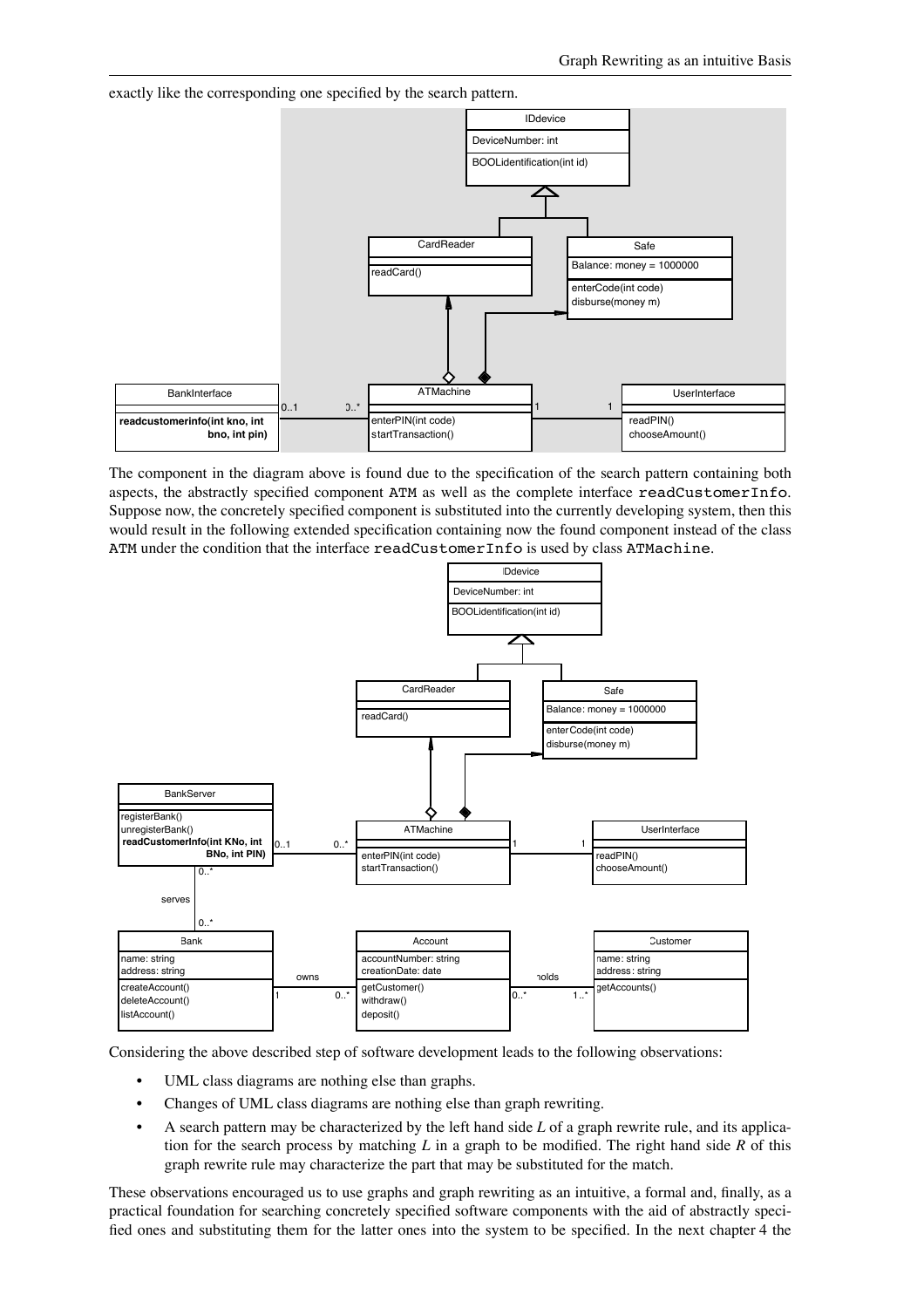exactly like the corresponding one specified by the search pattern.



The component in the diagram above is found due to the specification of the search pattern containing both aspects, the abstractly specified component ATM as well as the complete interface readCustomerInfo. Suppose now, the concretely specified component is substituted into the currently developing system, then this would result in the following extended specification containing now the found component instead of the class ATM under the condition that the interface readCustomerInfo is used by class ATMachine.



Considering the above described step of software development leads to the following observations:

- UML class diagrams are nothing else than graphs.
- Changes of UML class diagrams are nothing else than graph rewriting.
- A search pattern may be characterized by the left hand side *L* of a graph rewrite rule, and its application for the search process by matching *L* in a graph to be modified. The right hand side *R* of this graph rewrite rule may characterize the part that may be substituted for the match.

These observations encouraged us to use graphs and graph rewriting as an intuitive, a formal and, finally, as a practical foundation for searching concretely specified software components with the aid of abstractly specified ones and substituting them for the latter ones into the system to be specified. In the next chapter 4 the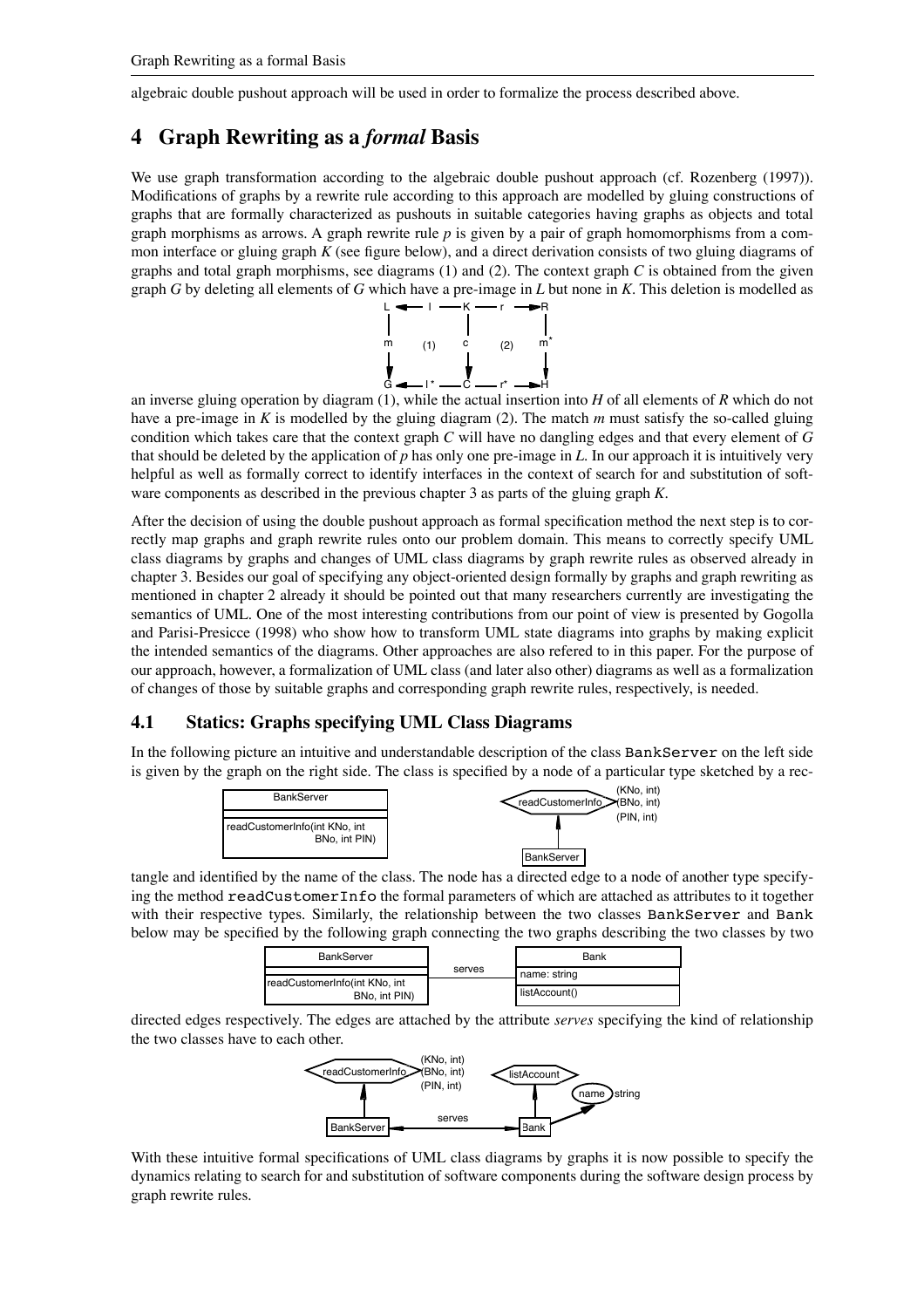algebraic double pushout approach will be used in order to formalize the process described above.

## **4 Graph Rewriting as a** *formal* **Basis**

We use graph transformation according to the algebraic double pushout approach (cf. Rozenberg (1997)). Modifications of graphs by a rewrite rule according to this approach are modelled by gluing constructions of graphs that are formally characterized as pushouts in suitable categories having graphs as objects and total graph morphisms as arrows. A graph rewrite rule *p* is given by a pair of graph homomorphisms from a common interface or gluing graph *K* (see figure below), and a direct derivation consists of two gluing diagrams of graphs and total graph morphisms, see diagrams (1) and (2). The context graph *C* is obtained from the given graph *G* by deleting all elements of *G* which have a pre-image in *L* but none in *K*. This deletion is modelled as



an inverse gluing operation by diagram (1), while the actual insertion into *H* of all elements of *R* which do not have a pre-image in *K* is modelled by the gluing diagram (2). The match *m* must satisfy the so-called gluing condition which takes care that the context graph *C* will have no dangling edges and that every element of *G* that should be deleted by the application of *p* has only one pre-image in *L*. In our approach it is intuitively very helpful as well as formally correct to identify interfaces in the context of search for and substitution of software components as described in the previous chapter 3 as parts of the gluing graph *K*.

After the decision of using the double pushout approach as formal specification method the next step is to correctly map graphs and graph rewrite rules onto our problem domain. This means to correctly specify UML class diagrams by graphs and changes of UML class diagrams by graph rewrite rules as observed already in chapter 3. Besides our goal of specifying any object-oriented design formally by graphs and graph rewriting as mentioned in chapter 2 already it should be pointed out that many researchers currently are investigating the semantics of UML. One of the most interesting contributions from our point of view is presented by Gogolla and Parisi-Presicce (1998) who show how to transform UML state diagrams into graphs by making explicit the intended semantics of the diagrams. Other approaches are also refered to in this paper. For the purpose of our approach, however, a formalization of UML class (and later also other) diagrams as well as a formalization of changes of those by suitable graphs and corresponding graph rewrite rules, respectively, is needed.

#### **4.1 Statics: Graphs specifying UML Class Diagrams**

In the following picture an intuitive and understandable description of the class BankServer on the left side is given by the graph on the right side. The class is specified by a node of a particular type sketched by a rec-



tangle and identified by the name of the class. The node has a directed edge to a node of another type specifying the method readCustomerInfo the formal parameters of which are attached as attributes to it together with their respective types. Similarly, the relationship between the two classes BankServer and Bank below may be specified by the following graph connecting the two graphs describing the two classes by two

| <b>BankServer</b>                              | serves | Bank          |
|------------------------------------------------|--------|---------------|
| readCustomerInfo(int KNo, int<br>BNo, int PIN) |        | name: string  |
|                                                |        | listAccount() |

directed edges respectively. The edges are attached by the attribute *serves* specifying the kind of relationship the two classes have to each other.



With these intuitive formal specifications of UML class diagrams by graphs it is now possible to specify the dynamics relating to search for and substitution of software components during the software design process by graph rewrite rules.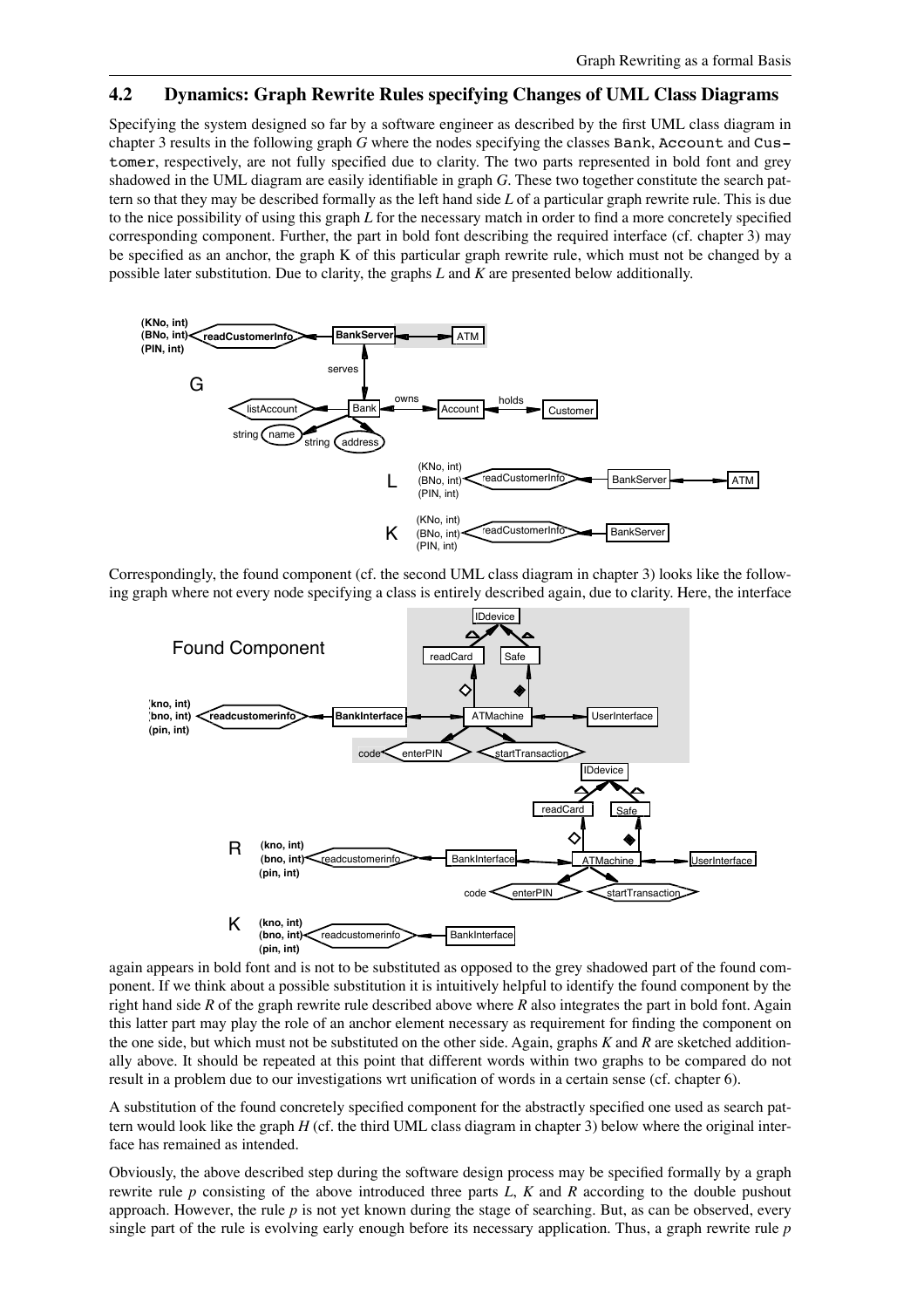#### **4.2 Dynamics: Graph Rewrite Rules specifying Changes of UML Class Diagrams**

Specifying the system designed so far by a software engineer as described by the first UML class diagram in chapter 3 results in the following graph *G* where the nodes specifying the classes Bank, Account and Customer, respectively, are not fully specified due to clarity. The two parts represented in bold font and grey shadowed in the UML diagram are easily identifiable in graph *G*. These two together constitute the search pattern so that they may be described formally as the left hand side *L* of a particular graph rewrite rule. This is due to the nice possibility of using this graph *L* for the necessary match in order to find a more concretely specified corresponding component. Further, the part in bold font describing the required interface (cf. chapter 3) may be specified as an anchor, the graph K of this particular graph rewrite rule, which must not be changed by a possible later substitution. Due to clarity, the graphs *L* and *K* are presented below additionally.



Correspondingly, the found component (cf. the second UML class diagram in chapter 3) looks like the following graph where not every node specifying a class is entirely described again, due to clarity. Here, the interface



again appears in bold font and is not to be substituted as opposed to the grey shadowed part of the found component. If we think about a possible substitution it is intuitively helpful to identify the found component by the right hand side *R* of the graph rewrite rule described above where *R* also integrates the part in bold font. Again this latter part may play the role of an anchor element necessary as requirement for finding the component on the one side, but which must not be substituted on the other side. Again, graphs *K* and *R* are sketched additionally above. It should be repeated at this point that different words within two graphs to be compared do not result in a problem due to our investigations wrt unification of words in a certain sense (cf. chapter 6).

A substitution of the found concretely specified component for the abstractly specified one used as search pattern would look like the graph *H* (cf. the third UML class diagram in chapter 3) below where the original interface has remained as intended.

Obviously, the above described step during the software design process may be specified formally by a graph rewrite rule *p* consisting of the above introduced three parts *L*, *K* and *R* according to the double pushout approach. However, the rule *p* is not yet known during the stage of searching. But, as can be observed, every single part of the rule is evolving early enough before its necessary application. Thus, a graph rewrite rule *p*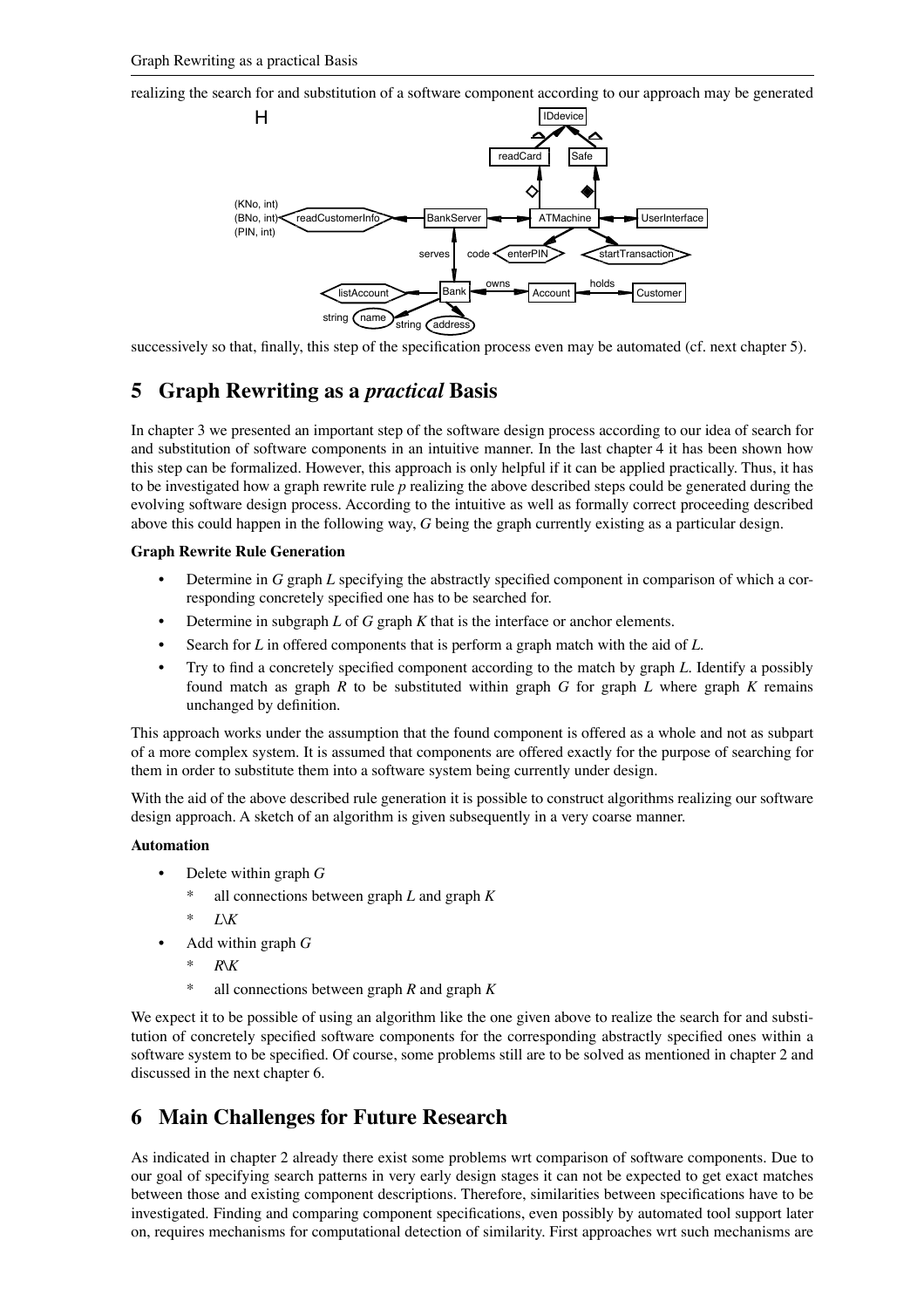realizing the search for and substitution of a software component according to our approach may be generated



successively so that, finally, this step of the specification process even may be automated (cf. next chapter 5).

# **5 Graph Rewriting as a** *practical* **Basis**

In chapter 3 we presented an important step of the software design process according to our idea of search for and substitution of software components in an intuitive manner. In the last chapter 4 it has been shown how this step can be formalized. However, this approach is only helpful if it can be applied practically. Thus, it has to be investigated how a graph rewrite rule *p* realizing the above described steps could be generated during the evolving software design process. According to the intuitive as well as formally correct proceeding described above this could happen in the following way, *G* being the graph currently existing as a particular design.

#### **Graph Rewrite Rule Generation**

- Determine in *G* graph *L* specifying the abstractly specified component in comparison of which a corresponding concretely specified one has to be searched for.
- Determine in subgraph *L* of *G* graph *K* that is the interface or anchor elements.
- Search for *L* in offered components that is perform a graph match with the aid of *L*.
- Try to find a concretely specified component according to the match by graph *L*. Identify a possibly found match as graph *R* to be substituted within graph *G* for graph *L* where graph *K* remains unchanged by definition.

This approach works under the assumption that the found component is offered as a whole and not as subpart of a more complex system. It is assumed that components are offered exactly for the purpose of searching for them in order to substitute them into a software system being currently under design.

With the aid of the above described rule generation it is possible to construct algorithms realizing our software design approach. A sketch of an algorithm is given subsequently in a very coarse manner.

#### **Automation**

- Delete within graph *G*
	- all connections between graph  $L$  and graph  $K$
	- \* *L*\*K*
- Add within graph *G*
	- \* *R*\*K*
	- \* all connections between graph *R* and graph *K*

We expect it to be possible of using an algorithm like the one given above to realize the search for and substitution of concretely specified software components for the corresponding abstractly specified ones within a software system to be specified. Of course, some problems still are to be solved as mentioned in chapter 2 and discussed in the next chapter 6.

# **6 Main Challenges for Future Research**

As indicated in chapter 2 already there exist some problems wrt comparison of software components. Due to our goal of specifying search patterns in very early design stages it can not be expected to get exact matches between those and existing component descriptions. Therefore, similarities between specifications have to be investigated. Finding and comparing component specifications, even possibly by automated tool support later on, requires mechanisms for computational detection of similarity. First approaches wrt such mechanisms are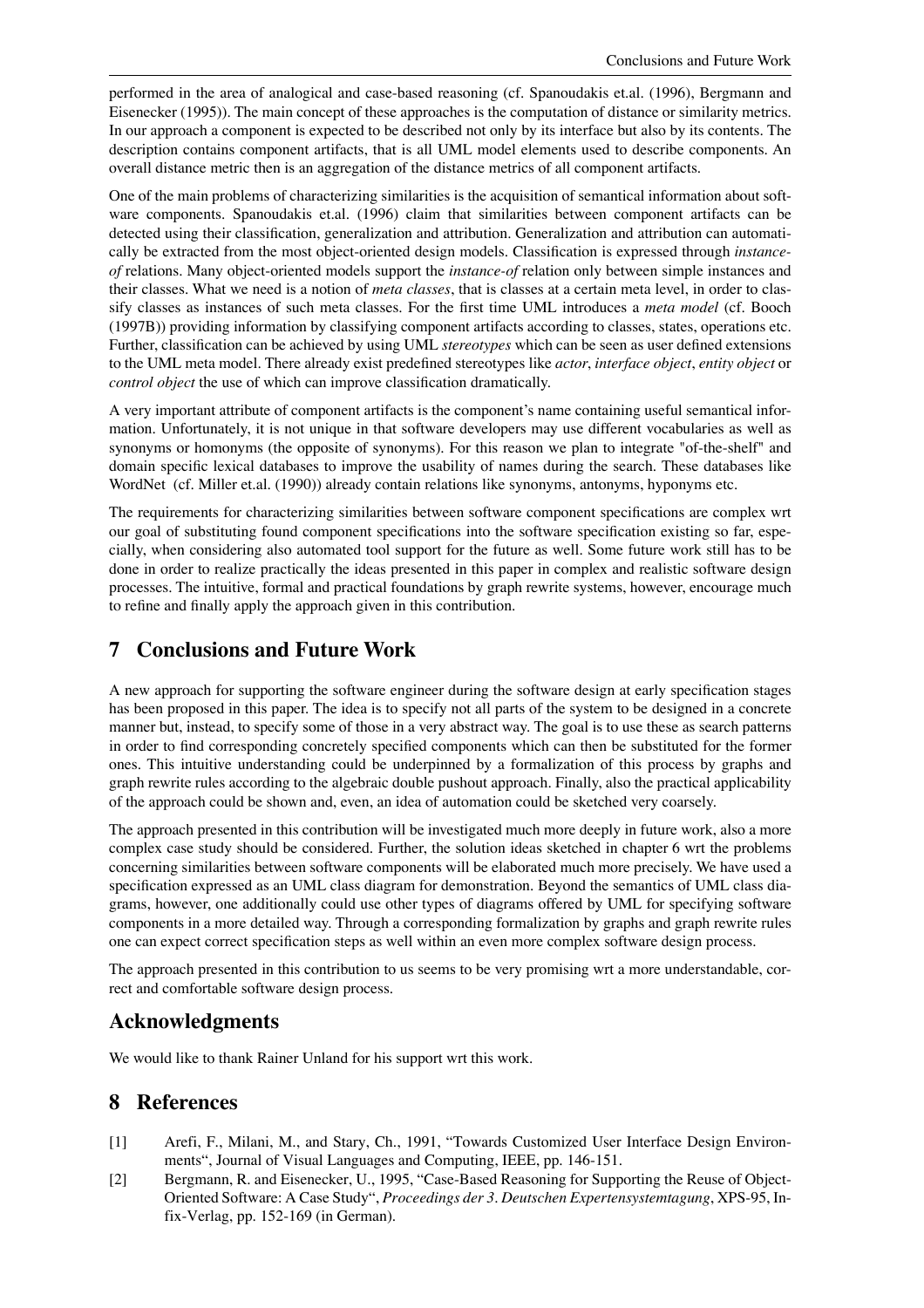performed in the area of analogical and case-based reasoning (cf. Spanoudakis et.al. (1996), Bergmann and Eisenecker (1995)). The main concept of these approaches is the computation of distance or similarity metrics. In our approach a component is expected to be described not only by its interface but also by its contents. The description contains component artifacts, that is all UML model elements used to describe components. An overall distance metric then is an aggregation of the distance metrics of all component artifacts.

One of the main problems of characterizing similarities is the acquisition of semantical information about software components. Spanoudakis et.al. (1996) claim that similarities between component artifacts can be detected using their classification, generalization and attribution. Generalization and attribution can automatically be extracted from the most object-oriented design models. Classification is expressed through *instanceof* relations. Many object-oriented models support the *instance-of* relation only between simple instances and their classes. What we need is a notion of *meta classes*, that is classes at a certain meta level, in order to classify classes as instances of such meta classes. For the first time UML introduces a *meta model* (cf. Booch (1997B)) providing information by classifying component artifacts according to classes, states, operations etc. Further, classification can be achieved by using UML *stereotypes* which can be seen as user defined extensions to the UML meta model. There already exist predefined stereotypes like *actor*, *interface object*, *entity object* or *control object* the use of which can improve classification dramatically.

A very important attribute of component artifacts is the component's name containing useful semantical information. Unfortunately, it is not unique in that software developers may use different vocabularies as well as synonyms or homonyms (the opposite of synonyms). For this reason we plan to integrate "of-the-shelf" and domain specific lexical databases to improve the usability of names during the search. These databases like WordNet (cf. Miller et.al. (1990)) already contain relations like synonyms, antonyms, hyponyms etc.

The requirements for characterizing similarities between software component specifications are complex wrt our goal of substituting found component specifications into the software specification existing so far, especially, when considering also automated tool support for the future as well. Some future work still has to be done in order to realize practically the ideas presented in this paper in complex and realistic software design processes. The intuitive, formal and practical foundations by graph rewrite systems, however, encourage much to refine and finally apply the approach given in this contribution.

## **7 Conclusions and Future Work**

A new approach for supporting the software engineer during the software design at early specification stages has been proposed in this paper. The idea is to specify not all parts of the system to be designed in a concrete manner but, instead, to specify some of those in a very abstract way. The goal is to use these as search patterns in order to find corresponding concretely specified components which can then be substituted for the former ones. This intuitive understanding could be underpinned by a formalization of this process by graphs and graph rewrite rules according to the algebraic double pushout approach. Finally, also the practical applicability of the approach could be shown and, even, an idea of automation could be sketched very coarsely.

The approach presented in this contribution will be investigated much more deeply in future work, also a more complex case study should be considered. Further, the solution ideas sketched in chapter 6 wrt the problems concerning similarities between software components will be elaborated much more precisely. We have used a specification expressed as an UML class diagram for demonstration. Beyond the semantics of UML class diagrams, however, one additionally could use other types of diagrams offered by UML for specifying software components in a more detailed way. Through a corresponding formalization by graphs and graph rewrite rules one can expect correct specification steps as well within an even more complex software design process.

The approach presented in this contribution to us seems to be very promising wrt a more understandable, correct and comfortable software design process.

# **Acknowledgments**

We would like to thank Rainer Unland for his support wrt this work.

## **8 References**

- [1] Arefi, F., Milani, M., and Stary, Ch., 1991, "Towards Customized User Interface Design Environments", Journal of Visual Languages and Computing, IEEE, pp. 146-151.
- [2] Bergmann, R. and Eisenecker, U., 1995, "Case-Based Reasoning for Supporting the Reuse of Object-Oriented Software: A Case Study", *Proceedings der 3. Deutschen Expertensystemtagung*, XPS-95, Infix-Verlag, pp. 152-169 (in German).